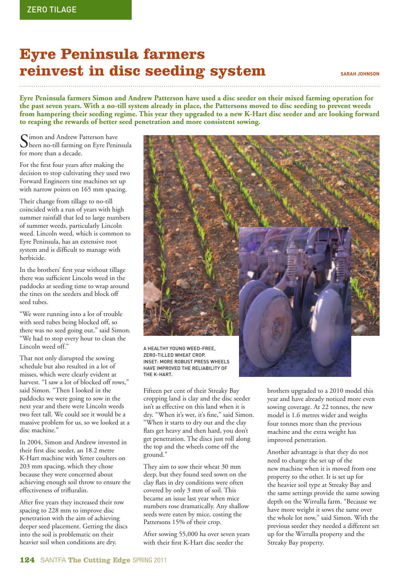## **Eyre Peninsula farmers reinvest in disc seeding system**

**SARAH JOHNSON**

**Eyre Peninsula farmers Simon and Andrew Patterson have used a disc seeder on their mixed farming operation for the past seven years. With a no-till system already in place, the Pattersons moved to disc seeding to prevent weeds from hampering their seeding regime. This year they upgraded to a new K-Hart disc seeder and are looking forward to reaping the rewards of better seed penetration and more consistent sowing.**

Simon and Andrew Patterson have been no-till farming on Eyre Peninsula for more than a decade.

For the first four years after making the decision to stop cultivating they used two Forward Engineers tine machines set up with narrow points on 165 mm spacing.

Their change from tillage to no-till coincided with a run of years with high summer rainfall that led to large numbers of summer weeds, particularly Lincoln weed. Lincoln weed, which is common to Eyre Peninsula, has an extensive root system and is difficult to manage with herbicide.

In the brothers' first year without tillage there was sufficient Lincoln weed in the paddocks at seeding time to wrap around the tines on the seeders and block off seed tubes.

"We were running into a lot of trouble with seed tubes being blocked off, so there was no seed going out," said Simon. "We had to stop every hour to clean the Lincoln weed off."

That not only disrupted the sowing schedule but also resulted in a lot of misses, which were clearly evident at harvest. "I saw a lot of blocked off rows," said Simon. "Then I looked in the paddocks we were going to sow in the next year and there were Lincoln weeds two feet tall. We could see it would be a massive problem for us, so we looked at a disc machine."

In 2004, Simon and Andrew invested in their first disc seeder, an 18.2 metre K-Hart machine with Yetter coulters on 203 mm spacing, which they chose because they were concerned about achieving enough soil throw to ensure the effectiveness of trifluralin.

After five years they increased their row spacing to 228 mm to improve disc penetration with the aim of achieving deeper seed placement. Getting the discs into the soil is problematic on their heavier soil when conditions are dry.



ZERO-TILLED WHEAT CROP. INSET: MORE ROBUST PRESS WHEFIS HAVE IMPROVED THE RELIABILITY OF THE K-HART.

Fifteen per cent of their Streaky Bay cropping land is clay and the disc seeder isn't as effective on this land when it is dry. "When it's wet, it's fine," said Simon. "When it starts to dry out and the clay flats get heavy and then hard, you don't get penetration. The discs just roll along the top and the wheels come off the ground."

They aim to sow their wheat 30 mm deep, but they found seed sown on the clay flats in dry conditions were often covered by only 3 mm of soil. This became an issue last year when mice numbers rose dramatically. Any shallow seeds were eaten by mice, costing the Pattersons 15% of their crop.

After sowing 55,000 ha over seven years with their first K-Hart disc seeder the

brothers upgraded to a 2010 model this year and have already noticed more even sowing coverage. At 22 tonnes, the new model is 1.6 metres wider and weighs four tonnes more than the previous machine and the extra weight has improved penetration.

Another advantage is that they do not need to change the set up of the new machine when it is moved from one property to the other. It is set up for the heavier soil type at Streaky Bay and the same settings provide the same sowing depth on the Wirrulla farm. "Because we have more weight it sows the same over the whole lot now," said Simon. With the previous seeder they needed a different set up for the Wirrulla property and the Streaky Bay property.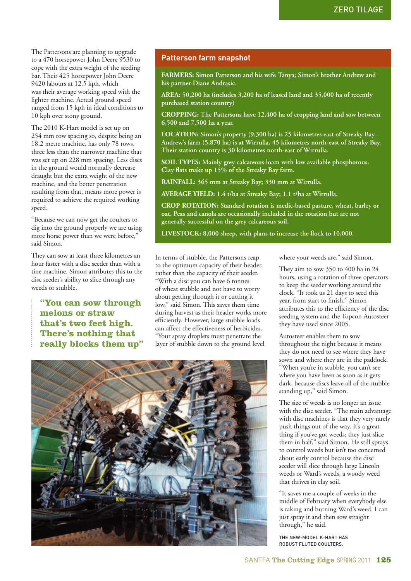The Pattersons are planning to upgrade to a 470 horsepower John Deere 9530 to cope with the extra weight of the seeding bar. Their 425 horsepower John Deere 9420 labours at 12.5 kph, which was their average working speed with the lighter machine. Actual ground speed ranged from 15 kph in ideal conditions to 10 kph over stony ground.

The 2010 K-Hart model is set up on 254 mm row spacing so, despite being an 18.2 metre machine, has only 78 rows, three less than the narrower machine that was set up on 228 mm spacing. Less discs in the ground would normally decrease draught but the extra weight of the new machine, and the better penetration resulting from that, means more power is required to achieve the required working speed.

"Because we can now get the coulters to dig into the ground properly we are using more horse power than we were before," said Simon.

They can sow at least three kilometres an hour faster with a disc seeder than with a tine machine. Simon attributes this to the disc seeder's ability to slice through any weeds or stubble.

 **"You can sow through melons or straw that's two feet high. There's nothing that really blocks them up"** 

## **Patterson farm snapshot**

**FARMERS: Simon Patterson and his wife Tanya; Simon's brother Andrew and his partner Diane Andrasic.**

**AREA: 50,200 ha (includes 3,200 ha of leased land and 35,000 ha of recently purchased station country)** 

**CROPPING: The Pattersons have 12,400 ha of cropping land and sow between 6,500 and 7,500 ha a year.**

**LOCATION: Simon's property (9,300 ha) is 25 kilometres east of Streaky Bay. Andrew's farm (5,870 ha) is at Wirrulla, 45 kilometres north-east of Streaky Bay. Their station country is 30 kilometres north-east of Wirrulla.**

**SOIL TYPES: Mainly grey calcareous loam with low available phosphorous. Clay fl ats make up 15% of the Streaky Bay farm.**

**RAINFALL: 365 mm at Streaky Bay; 330 mm at Wirrulla.**

**AVERAGE YIELD: 1.4 t/ha at Streaky Bay; 1.1 t/ha at Wirrulla.**

**CROP ROTATION: Standard rotation is medic-based pasture, wheat, barley or oat. Peas and canola are occasionally included in the rotation but are not generally successful on the grey calcareous soil.**

LIVESTOCK: 8,000 sheep, with plans to increase the flock to 10,000.

In terms of stubble, the Pattersons reap to the optimum capacity of their header, rather than the capacity of their seeder. "With a disc you can have 6 tonnes of wheat stubble and not have to worry about getting through it or cutting it low," said Simon. This saves them time during harvest as their header works more efficiently. However, large stubble loads can affect the effectiveness of herbicides. "Your spray droplets must penetrate the layer of stubble down to the ground level

where your weeds are," said Simon.

They aim to sow 350 to 400 ha in 24 hours, using a rotation of three operators to keep the seeder working around the clock. "It took us 21 days to seed this year, from start to finish." Simon attributes this to the efficiency of the disc seeding system and the Topcon Autosteer they have used since 2005.

Autosteer enables them to sow throughout the night because it means they do not need to see where they have sown and where they are in the paddock. "When you're in stubble, you can't see where you have been as soon as it gets dark, because discs leave all of the stubble standing up," said Simon.

The size of weeds is no longer an issue with the disc seeder. "The main advantage with disc machines is that they very rarely push things out of the way. It's a great thing if you've got weeds; they just slice them in half," said Simon. He still sprays to control weeds but isn't too concerned about early control because the disc seeder will slice through large Lincoln weeds or Ward's weeds, a woody weed that thrives in clay soil.

"It saves me a couple of weeks in the middle of February when everybody else is raking and burning Ward's weed. I can just spray it and then sow straight through," he said.

THE NEW-MODEL K-HART HAS ROBUST FLUTED COULTERS.

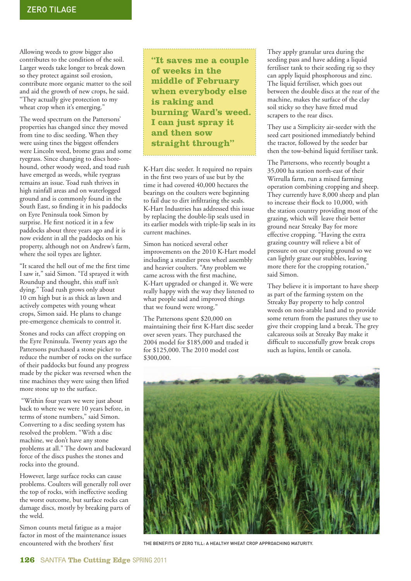Allowing weeds to grow bigger also contributes to the condition of the soil. Larger weeds take longer to break down so they protect against soil erosion, contribute more organic matter to the soil and aid the growth of new crops, he said. "They actually give protection to my wheat crop when it's emerging."

The weed spectrum on the Pattersons' properties has changed since they moved from tine to disc seeding. When they were using tines the biggest offenders were Lincoln weed, brome grass and some ryegrass. Since changing to discs horehound, other woody weed, and toad rush have emerged as weeds, while ryegrass remains an issue. Toad rush thrives in high rainfall areas and on waterlogged ground and is commonly found in the South East, so finding it in his paddocks on Eyre Peninsula took Simon by surprise. He first noticed it in a few paddocks about three years ago and it is now evident in all the paddocks on his property, although not on Andrew's farm, where the soil types are lighter.

"It scared the hell out of me the first time I saw it," said Simon. "I'd sprayed it with Roundup and thought, this stuff isn't dying." Toad rush grows only about 10 cm high but is as thick as lawn and actively competes with young wheat crops, Simon said. He plans to change pre-emergence chemicals to control it.

Stones and rocks can affect cropping on the Eyre Peninsula. Twenty years ago the Pattersons purchased a stone picker to reduce the number of rocks on the surface of their paddocks but found any progress made by the picker was reversed when the tine machines they were using then lifted more stone up to the surface.

 "Within four years we were just about back to where we were 10 years before, in terms of stone numbers," said Simon. Converting to a disc seeding system has resolved the problem. "With a disc machine, we don't have any stone problems at all." The down and backward force of the discs pushes the stones and rocks into the ground.

However, large surface rocks can cause problems. Coulters will generally roll over the top of rocks, with ineffective seeding the worst outcome, but surface rocks can damage discs, mostly by breaking parts of the weld.

Simon counts metal fatigue as a major factor in most of the maintenance issues encountered with the brothers' first

 **"It saves me a couple of weeks in the middle of February when everybody else is raking and burning Ward's weed. I can just spray it and then sow straight through"** 

K-Hart disc seeder. It required no repairs in the first two years of use but by the time it had covered 40,000 hectares the bearings on the coulters were beginning to fail due to dirt infiltrating the seals. K-Hart Industries has addressed this issue by replacing the double-lip seals used in its earlier models with triple-lip seals in its current machines.

Simon has noticed several other improvements on the 2010 K-Hart model including a sturdier press wheel assembly and heavier coulters. "Any problem we came across with the first machine, K-Hart upgraded or changed it. We were really happy with the way they listened to what people said and improved things that we found were wrong."

The Pattersons spent \$20,000 on maintaining their first K-Hart disc seeder over seven years. They purchased the 2004 model for \$185,000 and traded it for \$125,000. The 2010 model cost \$300,000.

They apply granular urea during the seeding pass and have adding a liquid fertiliser tank to their seeding rig so they can apply liquid phosphorous and zinc. The liquid fertiliser, which goes out between the double discs at the rear of the machine, makes the surface of the clay soil sticky so they have fitted mud scrapers to the rear discs.

They use a Simplicity air-seeder with the seed cart positioned immediately behind the tractor, followed by the seeder bar then the tow-behind liquid fertiliser tank.

The Pattersons, who recently bought a 35,000 ha station north-east of their Wirrulla farm, run a mixed farming operation combining cropping and sheep. They currently have 8,000 sheep and plan to increase their flock to 10,000, with the station country providing most of the grazing, which will leave their better ground near Streaky Bay for more effective cropping. "Having the extra grazing country will relieve a bit of pressure on our cropping ground so we can lightly graze our stubbles, leaving more there for the cropping rotation," said Simon.

They believe it is important to have sheep as part of the farming system on the Streaky Bay property to help control weeds on non-arable land and to provide some return from the pastures they use to give their cropping land a break. The grey calcareous soils at Streaky Bay make it difficult to successfully grow break crops such as lupins, lentils or canola.



THE BENEFITS OF ZERO TILL: A HEALTHY WHEAT CROP APPROACHING MATURITY.